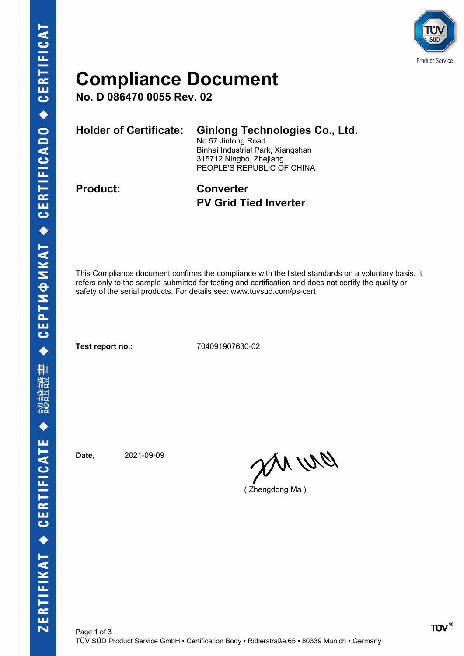

## **Compliance Document**

**No. D 086470 0055 Rev. 02**

| <b>Holder of Certificate:</b> | Ginlong Technologies Co., Ltd.<br>No.57 Jintong Road<br>Binhai Industrial Park, Xiangshan<br>315712 Ningbo, Zhejiang<br>PEOPLE'S REPUBLIC OF CHINA |
|-------------------------------|----------------------------------------------------------------------------------------------------------------------------------------------------|
| <b>Product:</b>               | <b>Converter</b><br><b>PV Grid Tied Inverter</b>                                                                                                   |

This Compliance document confirms the compliance with the listed standards on a voluntary basis. It refers only to the sample submitted for testing and certification and does not certify the quality or safety of the serial products. For details see: www.tuvsud.com/ps-cert

**Test report no.:** 704091907630-02

**Date,** 2021-09-09

an wa

( Zhengdong Ma )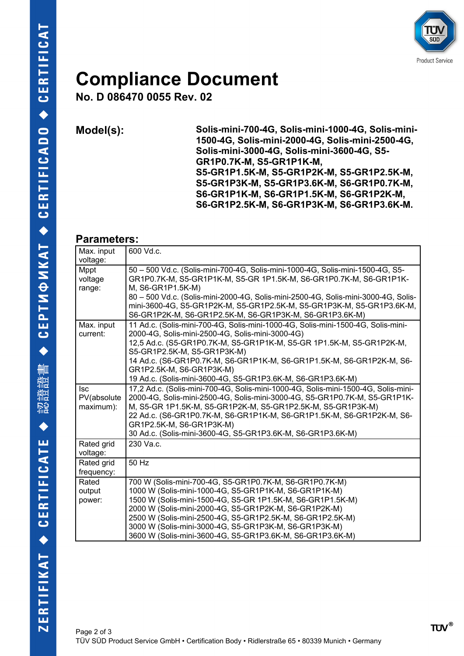

## **Compliance Document**

**No. D 086470 0055 Rev. 02**

**Model(s): Solis-mini-700-4G, Solis-mini-1000-4G, Solis-mini-1500-4G, Solis-mini-2000-4G, Solis-mini-2500-4G, Solis-mini-3000-4G, Solis-mini-3600-4G, S5- GR1P0.7K-M, S5-GR1P1K-M, S5-GR1P1.5K-M, S5-GR1P2K-M, S5-GR1P2.5K-M, S5-GR1P3K-M, S5-GR1P3.6K-M, S6-GR1P0.7K-M, S6-GR1P1K-M, S6-GR1P1.5K-M, S6-GR1P2K-M, S6-GR1P2.5K-M, S6-GR1P3K-M, S6-GR1P3.6K-M.**

## **Parameters:**

| Max. input<br>voltage:                 | 600 Vd.c.                                                                                                                                                                                                                                                                                                                                                                                                                  |
|----------------------------------------|----------------------------------------------------------------------------------------------------------------------------------------------------------------------------------------------------------------------------------------------------------------------------------------------------------------------------------------------------------------------------------------------------------------------------|
| Mppt<br>voltage<br>range:              | 50 - 500 Vd.c. (Solis-mini-700-4G, Solis-mini-1000-4G, Solis-mini-1500-4G, S5-<br>GR1P0.7K-M, S5-GR1P1K-M, S5-GR 1P1.5K-M, S6-GR1P0.7K-M, S6-GR1P1K-<br>M, S6-GR1P1.5K-M)<br>80 - 500 Vd.c. (Solis-mini-2000-4G, Solis-mini-2500-4G, Solis-mini-3000-4G, Solis-<br>mini-3600-4G, S5-GR1P2K-M, S5-GR1P2.5K-M, S5-GR1P3K-M, S5-GR1P3.6K-M,<br>S6-GR1P2K-M, S6-GR1P2.5K-M, S6-GR1P3K-M, S6-GR1P3.6K-M)                        |
| Max. input<br>current:                 | 11 Ad.c. (Solis-mini-700-4G, Solis-mini-1000-4G, Solis-mini-1500-4G, Solis-mini-<br>2000-4G, Solis-mini-2500-4G, Solis-mini-3000-4G)<br>12,5 Ad.c. (S5-GR1P0.7K-M, S5-GR1P1K-M, S5-GR 1P1.5K-M, S5-GR1P2K-M,<br>S5-GR1P2.5K-M, S5-GR1P3K-M)<br>14 Ad.c. (S6-GR1P0.7K-M, S6-GR1P1K-M, S6-GR1P1.5K-M, S6-GR1P2K-M, S6-<br>GR1P2.5K-M, S6-GR1P3K-M)<br>19 Ad.c. (Solis-mini-3600-4G, S5-GR1P3.6K-M, S6-GR1P3.6K-M)            |
| <b>Isc</b><br>PV(absolute<br>maximum): | 17,2 Ad.c. (Solis-mini-700-4G, Solis-mini-1000-4G, Solis-mini-1500-4G, Solis-mini-<br>2000-4G, Solis-mini-2500-4G, Solis-mini-3000-4G, S5-GR1P0.7K-M, S5-GR1P1K-<br>M, S5-GR 1P1.5K-M, S5-GR1P2K-M, S5-GR1P2.5K-M, S5-GR1P3K-M)<br>22 Ad.c. (S6-GR1P0.7K-M, S6-GR1P1K-M, S6-GR1P1.5K-M, S6-GR1P2K-M, S6-<br>GR1P2.5K-M, S6-GR1P3K-M)<br>30 Ad.c. (Solis-mini-3600-4G, S5-GR1P3.6K-M, S6-GR1P3.6K-M)                        |
| Rated grid<br>voltage:                 | 230 Va.c.                                                                                                                                                                                                                                                                                                                                                                                                                  |
| Rated grid<br>frequency:               | 50 Hz                                                                                                                                                                                                                                                                                                                                                                                                                      |
| Rated<br>output<br>power:              | 700 W (Solis-mini-700-4G, S5-GR1P0.7K-M, S6-GR1P0.7K-M)<br>1000 W (Solis-mini-1000-4G, S5-GR1P1K-M, S6-GR1P1K-M)<br>1500 W (Solis-mini-1500-4G, S5-GR 1P1.5K-M, S6-GR1P1.5K-M)<br>2000 W (Solis-mini-2000-4G, S5-GR1P2K-M, S6-GR1P2K-M)<br>2500 W (Solis-mini-2500-4G, S5-GR1P2.5K-M, S6-GR1P2.5K-M)<br>3000 W (Solis-mini-3000-4G, S5-GR1P3K-M, S6-GR1P3K-M)<br>3600 W (Solis-mini-3600-4G, S5-GR1P3.6K-M, S6-GR1P3.6K-M) |